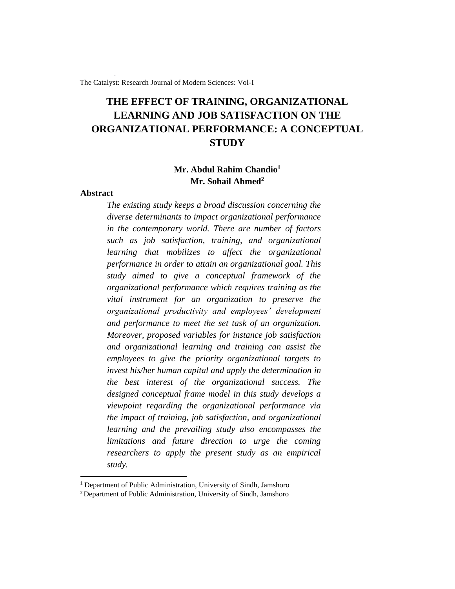The Catalyst: Research Journal of Modern Sciences: Vol-I

# **THE EFFECT OF TRAINING, ORGANIZATIONAL LEARNING AND JOB SATISFACTION ON THE ORGANIZATIONAL PERFORMANCE: A CONCEPTUAL STUDY**

# **Mr. Abdul Rahim Chandio<sup>1</sup> Mr. Sohail Ahmed<sup>2</sup>**

### **Abstract**

*The existing study keeps a broad discussion concerning the diverse determinants to impact organizational performance in the contemporary world. There are number of factors such as job satisfaction, training, and organizational learning that mobilizes to affect the organizational performance in order to attain an organizational goal. This study aimed to give a conceptual framework of the organizational performance which requires training as the vital instrument for an organization to preserve the organizational productivity and employees' development and performance to meet the set task of an organization. Moreover, proposed variables for instance job satisfaction and organizational learning and training can assist the employees to give the priority organizational targets to invest his/her human capital and apply the determination in the best interest of the organizational success. The designed conceptual frame model in this study develops a viewpoint regarding the organizational performance via the impact of training, job satisfaction, and organizational learning and the prevailing study also encompasses the limitations and future direction to urge the coming researchers to apply the present study as an empirical study.*

<sup>&</sup>lt;sup>1</sup> Department of Public Administration, University of Sindh, Jamshoro

<sup>&</sup>lt;sup>2</sup> Department of Public Administration, University of Sindh, Jamshoro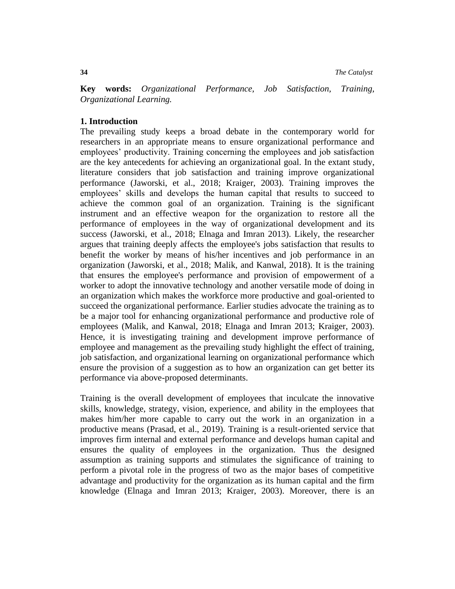**34** *The Catalyst*

**Key words:** *Organizational Performance, Job Satisfaction, Training, Organizational Learning.*

## **1. Introduction**

The prevailing study keeps a broad debate in the contemporary world for researchers in an appropriate means to ensure organizational performance and employees' productivity. Training concerning the employees and job satisfaction are the key antecedents for achieving an organizational goal. In the extant study, literature considers that job satisfaction and training improve organizational performance (Jaworski, et al., 2018; Kraiger, 2003). Training improves the employees' skills and develops the human capital that results to succeed to achieve the common goal of an organization. Training is the significant instrument and an effective weapon for the organization to restore all the performance of employees in the way of organizational development and its success (Jaworski, et al., 2018; Elnaga and Imran 2013). Likely, the researcher argues that training deeply affects the employee's jobs satisfaction that results to benefit the worker by means of his/her incentives and job performance in an organization (Jaworski, et al., 2018; Malik, and Kanwal, 2018). It is the training that ensures the employee's performance and provision of empowerment of a worker to adopt the innovative technology and another versatile mode of doing in an organization which makes the workforce more productive and goal-oriented to succeed the organizational performance. Earlier studies advocate the training as to be a major tool for enhancing organizational performance and productive role of employees (Malik, and Kanwal, 2018; Elnaga and Imran 2013; Kraiger, 2003). Hence, it is investigating training and development improve performance of employee and management as the prevailing study highlight the effect of training, job satisfaction, and organizational learning on organizational performance which ensure the provision of a suggestion as to how an organization can get better its performance via above-proposed determinants.

Training is the overall development of employees that inculcate the innovative skills, knowledge, strategy, vision, experience, and ability in the employees that makes him/her more capable to carry out the work in an organization in a productive means (Prasad, et al., 2019). Training is a result-oriented service that improves firm internal and external performance and develops human capital and ensures the quality of employees in the organization. Thus the designed assumption as training supports and stimulates the significance of training to perform a pivotal role in the progress of two as the major bases of competitive advantage and productivity for the organization as its human capital and the firm knowledge (Elnaga and Imran 2013; Kraiger, 2003). Moreover, there is an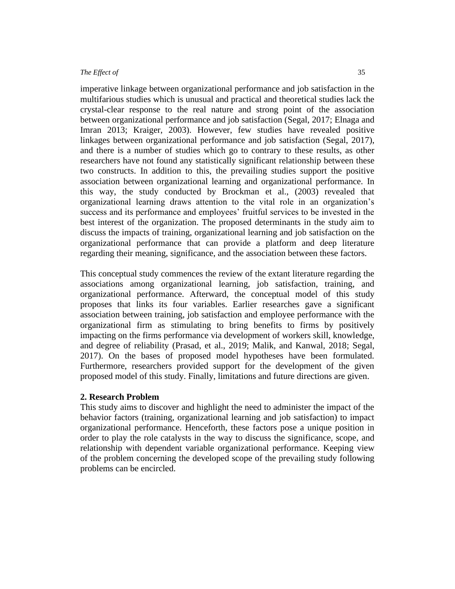imperative linkage between organizational performance and job satisfaction in the multifarious studies which is unusual and practical and theoretical studies lack the crystal-clear response to the real nature and strong point of the association between organizational performance and job satisfaction (Segal, 2017; Elnaga and Imran 2013; Kraiger, 2003). However, few studies have revealed positive linkages between organizational performance and job satisfaction (Segal, 2017), and there is a number of studies which go to contrary to these results, as other researchers have not found any statistically significant relationship between these two constructs. In addition to this, the prevailing studies support the positive association between organizational learning and organizational performance. In this way, the study conducted by Brockman et al., (2003) revealed that organizational learning draws attention to the vital role in an organization's success and its performance and employees' fruitful services to be invested in the best interest of the organization. The proposed determinants in the study aim to discuss the impacts of training, organizational learning and job satisfaction on the organizational performance that can provide a platform and deep literature regarding their meaning, significance, and the association between these factors.

This conceptual study commences the review of the extant literature regarding the associations among organizational learning, job satisfaction, training, and organizational performance. Afterward, the conceptual model of this study proposes that links its four variables. Earlier researches gave a significant association between training, job satisfaction and employee performance with the organizational firm as stimulating to bring benefits to firms by positively impacting on the firms performance via development of workers skill, knowledge, and degree of reliability (Prasad, et al., 2019; Malik, and Kanwal, 2018; Segal, 2017). On the bases of proposed model hypotheses have been formulated. Furthermore, researchers provided support for the development of the given proposed model of this study. Finally, limitations and future directions are given.

## **2. Research Problem**

This study aims to discover and highlight the need to administer the impact of the behavior factors (training, organizational learning and job satisfaction) to impact organizational performance. Henceforth, these factors pose a unique position in order to play the role catalysts in the way to discuss the significance, scope, and relationship with dependent variable organizational performance. Keeping view of the problem concerning the developed scope of the prevailing study following problems can be encircled.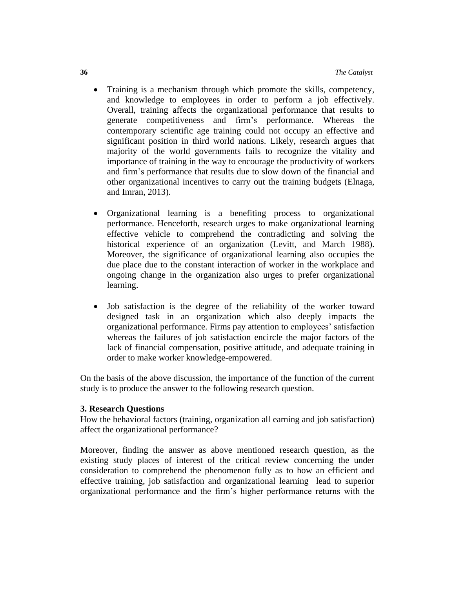- Training is a mechanism through which promote the skills, competency, and knowledge to employees in order to perform a job effectively. Overall, training affects the organizational performance that results to generate competitiveness and firm's performance. Whereas the contemporary scientific age training could not occupy an effective and significant position in third world nations. Likely, research argues that majority of the world governments fails to recognize the vitality and importance of training in the way to encourage the productivity of workers and firm's performance that results due to slow down of the financial and other organizational incentives to carry out the training budgets (Elnaga, and Imran, 2013).
- Organizational learning is a benefiting process to organizational performance. Henceforth, research urges to make organizational learning effective vehicle to comprehend the contradicting and solving the historical experience of an organization (Levitt, and March 1988). Moreover, the significance of organizational learning also occupies the due place due to the constant interaction of worker in the workplace and ongoing change in the organization also urges to prefer organizational learning.
- Job satisfaction is the degree of the reliability of the worker toward designed task in an organization which also deeply impacts the organizational performance. Firms pay attention to employees' satisfaction whereas the failures of job satisfaction encircle the major factors of the lack of financial compensation, positive attitude, and adequate training in order to make worker knowledge-empowered.

On the basis of the above discussion, the importance of the function of the current study is to produce the answer to the following research question.

## **3. Research Questions**

How the behavioral factors (training, organization all earning and job satisfaction) affect the organizational performance?

Moreover, finding the answer as above mentioned research question, as the existing study places of interest of the critical review concerning the under consideration to comprehend the phenomenon fully as to how an efficient and effective training, job satisfaction and organizational learning lead to superior organizational performance and the firm's higher performance returns with the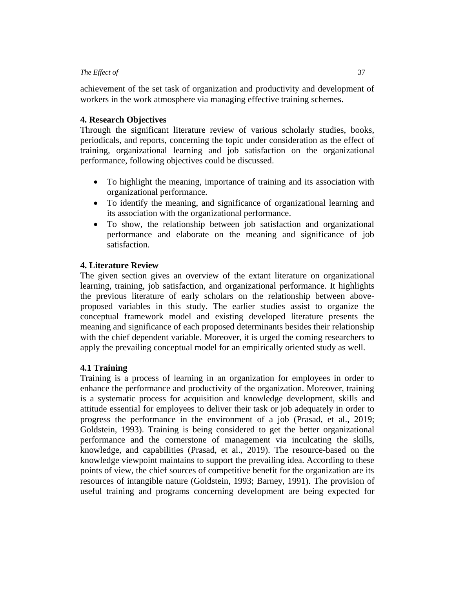achievement of the set task of organization and productivity and development of workers in the work atmosphere via managing effective training schemes.

# **4. Research Objectives**

Through the significant literature review of various scholarly studies, books, periodicals, and reports, concerning the topic under consideration as the effect of training, organizational learning and job satisfaction on the organizational performance, following objectives could be discussed.

- To highlight the meaning, importance of training and its association with organizational performance.
- To identify the meaning, and significance of organizational learning and its association with the organizational performance.
- To show, the relationship between job satisfaction and organizational performance and elaborate on the meaning and significance of job satisfaction.

# **4. Literature Review**

The given section gives an overview of the extant literature on organizational learning, training, job satisfaction, and organizational performance. It highlights the previous literature of early scholars on the relationship between aboveproposed variables in this study. The earlier studies assist to organize the conceptual framework model and existing developed literature presents the meaning and significance of each proposed determinants besides their relationship with the chief dependent variable. Moreover, it is urged the coming researchers to apply the prevailing conceptual model for an empirically oriented study as well.

# **4.1 Training**

Training is a process of learning in an organization for employees in order to enhance the performance and productivity of the organization. Moreover, training is a systematic process for acquisition and knowledge development, skills and attitude essential for employees to deliver their task or job adequately in order to progress the performance in the environment of a job (Prasad, et al., 2019; Goldstein, 1993). Training is being considered to get the better organizational performance and the cornerstone of management via inculcating the skills, knowledge, and capabilities (Prasad, et al., 2019). The resource-based on the knowledge viewpoint maintains to support the prevailing idea. According to these points of view, the chief sources of competitive benefit for the organization are its resources of intangible nature (Goldstein, 1993; Barney, 1991). The provision of useful training and programs concerning development are being expected for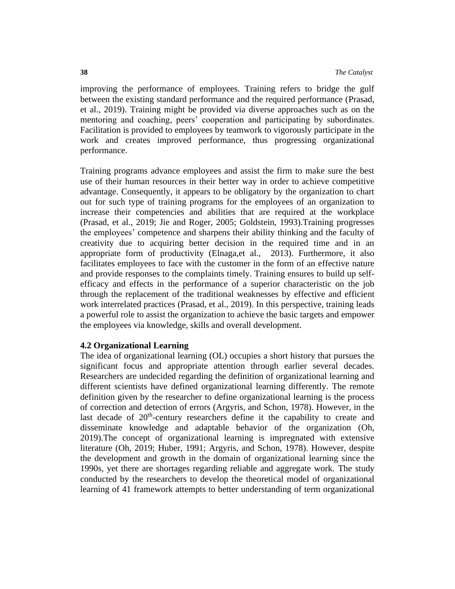improving the performance of employees. Training refers to bridge the gulf between the existing standard performance and the required performance (Prasad, et al., 2019). Training might be provided via diverse approaches such as on the mentoring and coaching, peers' cooperation and participating by subordinates. Facilitation is provided to employees by teamwork to vigorously participate in the work and creates improved performance, thus progressing organizational performance.

Training programs advance employees and assist the firm to make sure the best use of their human resources in their better way in order to achieve competitive advantage. Consequently, it appears to be obligatory by the organization to chart out for such type of training programs for the employees of an organization to increase their competencies and abilities that are required at the workplace (Prasad, et al., 2019; Jie and Roger, 2005; Goldstein, 1993).Training progresses the employees' competence and sharpens their ability thinking and the faculty of creativity due to acquiring better decision in the required time and in an appropriate form of productivity (Elnaga,et al., 2013). Furthermore, it also facilitates employees to face with the customer in the form of an effective nature and provide responses to the complaints timely. Training ensures to build up selfefficacy and effects in the performance of a superior characteristic on the job through the replacement of the traditional weaknesses by effective and efficient work interrelated practices (Prasad, et al., 2019). In this perspective, training leads a powerful role to assist the organization to achieve the basic targets and empower the employees via knowledge, skills and overall development.

# **4.2 Organizational Learning**

The idea of organizational learning (OL) occupies a short history that pursues the significant focus and appropriate attention through earlier several decades. Researchers are undecided regarding the definition of organizational learning and different scientists have defined organizational learning differently. The remote definition given by the researcher to define organizational learning is the process of correction and detection of errors (Argyris, and Schon, 1978). However, in the last decade of  $20<sup>th</sup>$ -century researchers define it the capability to create and disseminate knowledge and adaptable behavior of the organization (Oh, 2019).The concept of organizational learning is impregnated with extensive literature (Oh, 2019; Huber, 1991; Argyris, and Schon, 1978). However, despite the development and growth in the domain of organizational learning since the 1990s, yet there are shortages regarding reliable and aggregate work. The study conducted by the researchers to develop the theoretical model of organizational learning of 41 framework attempts to better understanding of term organizational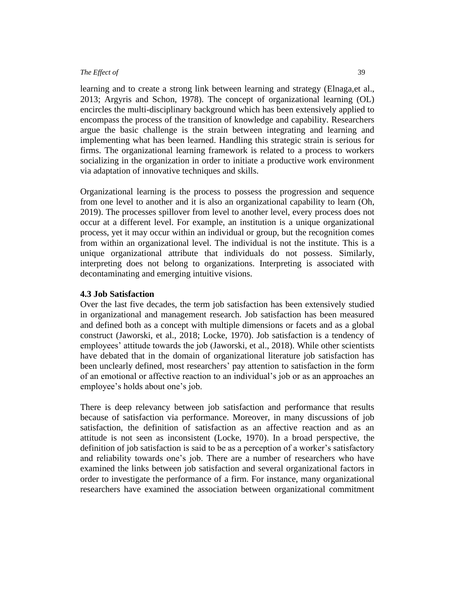learning and to create a strong link between learning and strategy (Elnaga,et al., 2013; Argyris and Schon, 1978). The concept of organizational learning (OL) encircles the multi-disciplinary background which has been extensively applied to encompass the process of the transition of knowledge and capability. Researchers argue the basic challenge is the strain between integrating and learning and implementing what has been learned. Handling this strategic strain is serious for firms. The organizational learning framework is related to a process to workers socializing in the organization in order to initiate a productive work environment via adaptation of innovative techniques and skills.

Organizational learning is the process to possess the progression and sequence from one level to another and it is also an organizational capability to learn (Oh, 2019). The processes spillover from level to another level, every process does not occur at a different level. For example, an institution is a unique organizational process, yet it may occur within an individual or group, but the recognition comes from within an organizational level. The individual is not the institute. This is a unique organizational attribute that individuals do not possess. Similarly, interpreting does not belong to organizations. Interpreting is associated with decontaminating and emerging intuitive visions.

#### **4.3 Job Satisfaction**

Over the last five decades, the term job satisfaction has been extensively studied in organizational and management research. Job satisfaction has been measured and defined both as a concept with multiple dimensions or facets and as a global construct (Jaworski, et al., 2018; Locke, 1970). Job satisfaction is a tendency of employees' attitude towards the job (Jaworski, et al., 2018). While other scientists have debated that in the domain of organizational literature job satisfaction has been unclearly defined, most researchers' pay attention to satisfaction in the form of an emotional or affective reaction to an individual's job or as an approaches an employee's holds about one's job.

There is deep relevancy between job satisfaction and performance that results because of satisfaction via performance. Moreover, in many discussions of job satisfaction, the definition of satisfaction as an affective reaction and as an attitude is not seen as inconsistent (Locke, 1970). In a broad perspective, the definition of job satisfaction is said to be as a perception of a worker's satisfactory and reliability towards one's job. There are a number of researchers who have examined the links between job satisfaction and several organizational factors in order to investigate the performance of a firm. For instance, many organizational researchers have examined the association between organizational commitment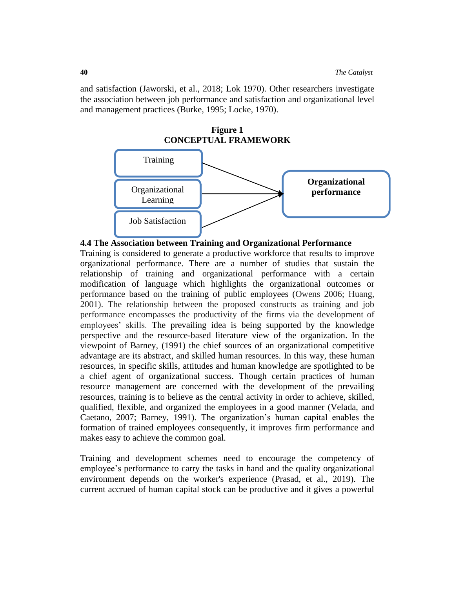and satisfaction (Jaworski, et al., 2018; Lok 1970). Other researchers investigate the association between job performance and satisfaction and organizational level and management practices (Burke, 1995; Locke, 1970).



#### **4.4 The Association between Training and Organizational Performance**

Training is considered to generate a productive workforce that results to improve organizational performance. There are a number of studies that sustain the relationship of training and organizational performance with a certain modification of language which highlights the organizational outcomes or performance based on the training of public employees (Owens 2006; Huang, 2001). The relationship between the proposed constructs as training and job performance encompasses the productivity of the firms via the development of employees' skills. The prevailing idea is being supported by the knowledge perspective and the resource-based literature view of the organization. In the viewpoint of Barney, (1991) the chief sources of an organizational competitive advantage are its abstract, and skilled human resources. In this way, these human resources, in specific skills, attitudes and human knowledge are spotlighted to be a chief agent of organizational success. Though certain practices of human resource management are concerned with the development of the prevailing resources, training is to believe as the central activity in order to achieve, skilled, qualified, flexible, and organized the employees in a good manner (Velada, and Caetano, 2007; Barney, 1991). The organization's human capital enables the formation of trained employees consequently, it improves firm performance and makes easy to achieve the common goal.

Training and development schemes need to encourage the competency of employee's performance to carry the tasks in hand and the quality organizational environment depends on the worker's experience (Prasad, et al., 2019). The current accrued of human capital stock can be productive and it gives a powerful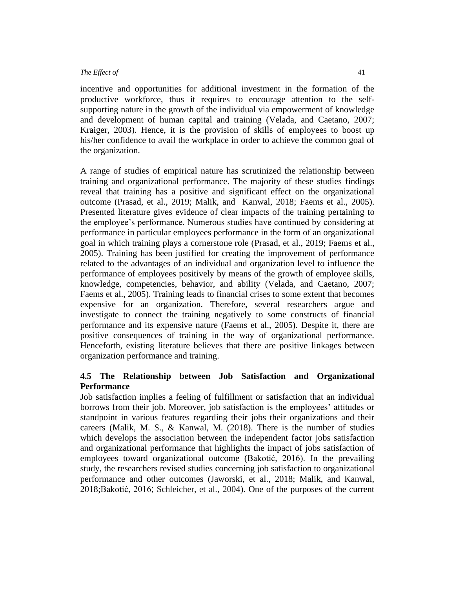incentive and opportunities for additional investment in the formation of the productive workforce, thus it requires to encourage attention to the selfsupporting nature in the growth of the individual via empowerment of knowledge and development of human capital and training (Velada, and Caetano, 2007; Kraiger, 2003). Hence, it is the provision of skills of employees to boost up his/her confidence to avail the workplace in order to achieve the common goal of the organization.

A range of studies of empirical nature has scrutinized the relationship between training and organizational performance. The majority of these studies findings reveal that training has a positive and significant effect on the organizational outcome (Prasad, et al., 2019; Malik, and Kanwal, 2018; Faems et al., 2005). Presented literature gives evidence of clear impacts of the training pertaining to the employee's performance. Numerous studies have continued by considering at performance in particular employees performance in the form of an organizational goal in which training plays a cornerstone role (Prasad, et al., 2019; Faems et al., 2005). Training has been justified for creating the improvement of performance related to the advantages of an individual and organization level to influence the performance of employees positively by means of the growth of employee skills, knowledge, competencies, behavior, and ability (Velada, and Caetano, 2007; Faems et al., 2005). Training leads to financial crises to some extent that becomes expensive for an organization. Therefore, several researchers argue and investigate to connect the training negatively to some constructs of financial performance and its expensive nature (Faems et al., 2005). Despite it, there are positive consequences of training in the way of organizational performance. Henceforth, existing literature believes that there are positive linkages between organization performance and training.

# **4.5 The Relationship between Job Satisfaction and Organizational Performance**

Job satisfaction implies a feeling of fulfillment or satisfaction that an individual borrows from their job. Moreover, job satisfaction is the employees' attitudes or standpoint in various features regarding their jobs their organizations and their careers (Malik, M. S., & Kanwal, M. (2018). There is the number of studies which develops the association between the independent factor jobs satisfaction and organizational performance that highlights the impact of jobs satisfaction of employees toward organizational outcome (Bakotić, 2016). In the prevailing study, the researchers revised studies concerning job satisfaction to organizational performance and other outcomes (Jaworski, et al., 2018; Malik, and Kanwal, 2018;Bakotić, 2016; Schleicher, et al., 2004). One of the purposes of the current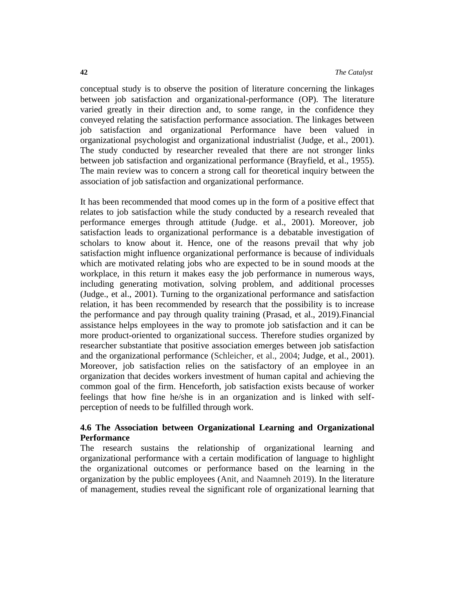conceptual study is to observe the position of literature concerning the linkages between job satisfaction and organizational-performance (OP). The literature varied greatly in their direction and, to some range, in the confidence they conveyed relating the satisfaction performance association. The linkages between job satisfaction and organizational Performance have been valued in organizational psychologist and organizational industrialist (Judge, et al., 2001). The study conducted by researcher revealed that there are not stronger links between job satisfaction and organizational performance (Brayfield, et al., 1955). The main review was to concern a strong call for theoretical inquiry between the association of job satisfaction and organizational performance.

It has been recommended that mood comes up in the form of a positive effect that relates to job satisfaction while the study conducted by a research revealed that performance emerges through attitude (Judge. et al., 2001). Moreover, job satisfaction leads to organizational performance is a debatable investigation of scholars to know about it. Hence, one of the reasons prevail that why job satisfaction might influence organizational performance is because of individuals which are motivated relating jobs who are expected to be in sound moods at the workplace, in this return it makes easy the job performance in numerous ways, including generating motivation, solving problem, and additional processes (Judge., et al., 2001). Turning to the organizational performance and satisfaction relation, it has been recommended by research that the possibility is to increase the performance and pay through quality training (Prasad, et al., 2019).Financial assistance helps employees in the way to promote job satisfaction and it can be more product-oriented to organizational success. Therefore studies organized by researcher substantiate that positive association emerges between job satisfaction and the organizational performance (Schleicher, et al., 2004; Judge, et al., 2001). Moreover, job satisfaction relies on the satisfactory of an employee in an organization that decides workers investment of human capital and achieving the common goal of the firm. Henceforth, job satisfaction exists because of worker feelings that how fine he/she is in an organization and is linked with selfperception of needs to be fulfilled through work.

## **4.6 The Association between Organizational Learning and Organizational Performance**

The research sustains the relationship of organizational learning and organizational performance with a certain modification of language to highlight the organizational outcomes or performance based on the learning in the organization by the public employees (Anit, and Naamneh 2019). In the literature of management, studies reveal the significant role of organizational learning that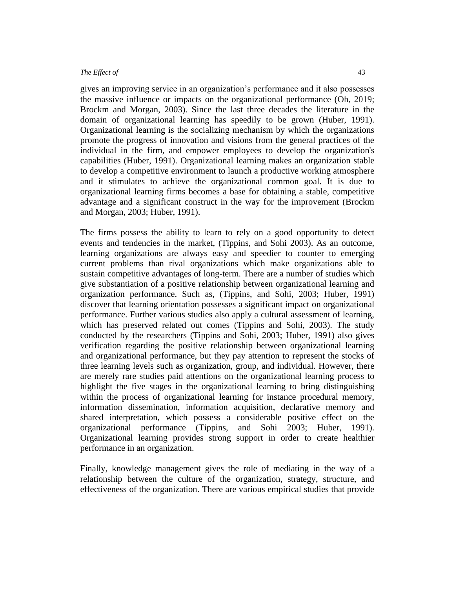gives an improving service in an organization's performance and it also possesses the massive influence or impacts on the organizational performance (Oh, 2019; Brockm and Morgan, 2003). Since the last three decades the literature in the domain of organizational learning has speedily to be grown (Huber, 1991). Organizational learning is the socializing mechanism by which the organizations promote the progress of innovation and visions from the general practices of the individual in the firm, and empower employees to develop the organization's capabilities (Huber, 1991). Organizational learning makes an organization stable to develop a competitive environment to launch a productive working atmosphere and it stimulates to achieve the organizational common goal. It is due to organizational learning firms becomes a base for obtaining a stable, competitive advantage and a significant construct in the way for the improvement (Brockm and Morgan, 2003; Huber, 1991).

The firms possess the ability to learn to rely on a good opportunity to detect events and tendencies in the market, (Tippins, and Sohi 2003). As an outcome, learning organizations are always easy and speedier to counter to emerging current problems than rival organizations which make organizations able to sustain competitive advantages of long-term. There are a number of studies which give substantiation of a positive relationship between organizational learning and organization performance. Such as, (Tippins, and Sohi, 2003; Huber, 1991) discover that learning orientation possesses a significant impact on organizational performance. Further various studies also apply a cultural assessment of learning, which has preserved related out comes (Tippins and Sohi, 2003). The study conducted by the researchers (Tippins and Sohi, 2003; Huber, 1991) also gives verification regarding the positive relationship between organizational learning and organizational performance, but they pay attention to represent the stocks of three learning levels such as organization, group, and individual. However, there are merely rare studies paid attentions on the organizational learning process to highlight the five stages in the organizational learning to bring distinguishing within the process of organizational learning for instance procedural memory, information dissemination, information acquisition, declarative memory and shared interpretation, which possess a considerable positive effect on the organizational performance (Tippins, and Sohi 2003; Huber, 1991). Organizational learning provides strong support in order to create healthier performance in an organization.

Finally, knowledge management gives the role of mediating in the way of a relationship between the culture of the organization, strategy, structure, and effectiveness of the organization. There are various empirical studies that provide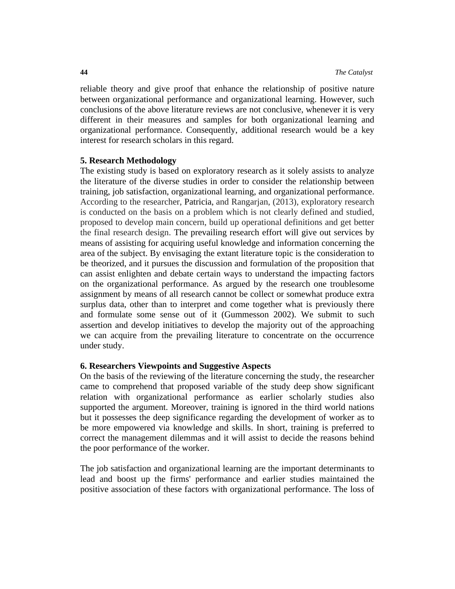reliable theory and give proof that enhance the relationship of positive nature between organizational performance and organizational learning. However, such conclusions of the above literature reviews are not conclusive, whenever it is very different in their measures and samples for both organizational learning and organizational performance. Consequently, additional research would be a key interest for research scholars in this regard.

### **5. Research Methodology**

The existing study is based on exploratory research as it solely assists to analyze the literature of the diverse studies in order to consider the relationship between training, job satisfaction, organizational learning, and organizational performance. According to the researcher, [Patricia,](https://en.wikipedia.org/wiki/Patricia_M._Shields) and Rangarjan, (2013), exploratory research is conducted on the basis on a problem which is not clearly defined and studied, proposed to develop main concern, build up operational definitions and get better the final research design. The prevailing research effort will give out services by means of assisting for acquiring useful knowledge and information concerning the area of the subject. By envisaging the extant literature topic is the consideration to be theorized, and it pursues the discussion and formulation of the proposition that can assist enlighten and debate certain ways to understand the impacting factors on the organizational performance. As argued by the research one troublesome assignment by means of all research cannot be collect or somewhat produce extra surplus data, other than to interpret and come together what is previously there and formulate some sense out of it (Gummesson 2002). We submit to such assertion and develop initiatives to develop the majority out of the approaching we can acquire from the prevailing literature to concentrate on the occurrence under study.

## **6. Researchers Viewpoints and Suggestive Aspects**

On the basis of the reviewing of the literature concerning the study, the researcher came to comprehend that proposed variable of the study deep show significant relation with organizational performance as earlier scholarly studies also supported the argument. Moreover, training is ignored in the third world nations but it possesses the deep significance regarding the development of worker as to be more empowered via knowledge and skills. In short, training is preferred to correct the management dilemmas and it will assist to decide the reasons behind the poor performance of the worker.

The job satisfaction and organizational learning are the important determinants to lead and boost up the firms' performance and earlier studies maintained the positive association of these factors with organizational performance. The loss of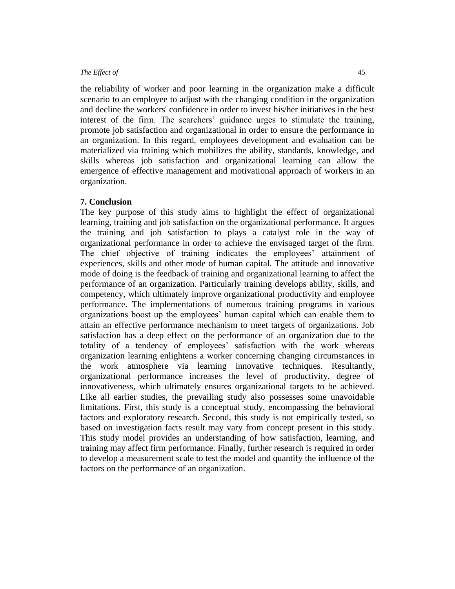the reliability of worker and poor learning in the organization make a difficult scenario to an employee to adjust with the changing condition in the organization and decline the workers' confidence in order to invest his/her initiatives in the best interest of the firm. The searchers' guidance urges to stimulate the training, promote job satisfaction and organizational in order to ensure the performance in an organization. In this regard, employees development and evaluation can be materialized via training which mobilizes the ability, standards, knowledge, and skills whereas job satisfaction and organizational learning can allow the emergence of effective management and motivational approach of workers in an organization.

#### **7. Conclusion**

The key purpose of this study aims to highlight the effect of organizational learning, training and job satisfaction on the organizational performance. It argues the training and job satisfaction to plays a catalyst role in the way of organizational performance in order to achieve the envisaged target of the firm. The chief objective of training indicates the employees' attainment of experiences, skills and other mode of human capital. The attitude and innovative mode of doing is the feedback of training and organizational learning to affect the performance of an organization. Particularly training develops ability, skills, and competency, which ultimately improve organizational productivity and employee performance. The implementations of numerous training programs in various organizations boost up the employees' human capital which can enable them to attain an effective performance mechanism to meet targets of organizations. Job satisfaction has a deep effect on the performance of an organization due to the totality of a tendency of employees' satisfaction with the work whereas organization learning enlightens a worker concerning changing circumstances in the work atmosphere via learning innovative techniques. Resultantly, organizational performance increases the level of productivity, degree of innovativeness, which ultimately ensures organizational targets to be achieved. Like all earlier studies, the prevailing study also possesses some unavoidable limitations. First, this study is a conceptual study, encompassing the behavioral factors and exploratory research. Second, this study is not empirically tested, so based on investigation facts result may vary from concept present in this study. This study model provides an understanding of how satisfaction, learning, and training may affect firm performance. Finally, further research is required in order to develop a measurement scale to test the model and quantify the influence of the factors on the performance of an organization.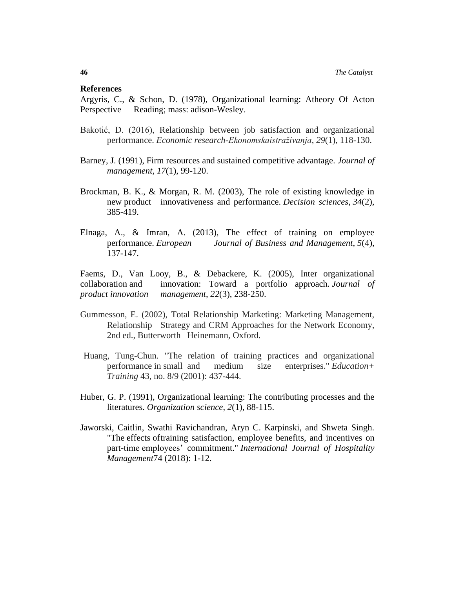#### **References**

Argyris, C., & Schon, D. (1978), Organizational learning: Atheory Of Acton Perspective Reading; mass: adison-Wesley.

- Bakotić, D. (2016), Relationship between job satisfaction and organizational performance. *Economic research-Ekonomskaistraživanja*, *29*(1), 118-130.
- Barney, J. (1991), Firm resources and sustained competitive advantage. *Journal of management*, *17*(1), 99-120.
- Brockman, B. K., & Morgan, R. M. (2003), The role of existing knowledge in new product innovativeness and performance. *Decision sciences*, *34*(2), 385-419.
- Elnaga, A., & Imran, A. (2013), The effect of training on employee performance. *European Journal of Business and Management*, *5*(4), 137-147.

Faems, D., Van Looy, B., & Debackere, K. (2005), Inter organizational collaboration and innovation: Toward a portfolio approach. *Journal of product innovation management*, *22*(3), 238-250.

- Gummesson, E. (2002), Total Relationship Marketing: Marketing Management, Relationship Strategy and CRM Approaches for the Network Economy, 2nd ed., Butterworth Heinemann, Oxford.
- Huang, Tung-Chun. "The relation of training practices and organizational performance in small and medium size enterprises." *Education+ Training* 43, no. 8/9 (2001): 437-444.
- Huber, G. P. (1991), Organizational learning: The contributing processes and the literatures. *Organization science*, *2*(1), 88-115.
- Jaworski, Caitlin, Swathi Ravichandran, Aryn C. Karpinski, and Shweta Singh. "The effects oftraining satisfaction, employee benefits, and incentives on part-time employees' commitment." *International Journal of Hospitality Management*74 (2018): 1-12.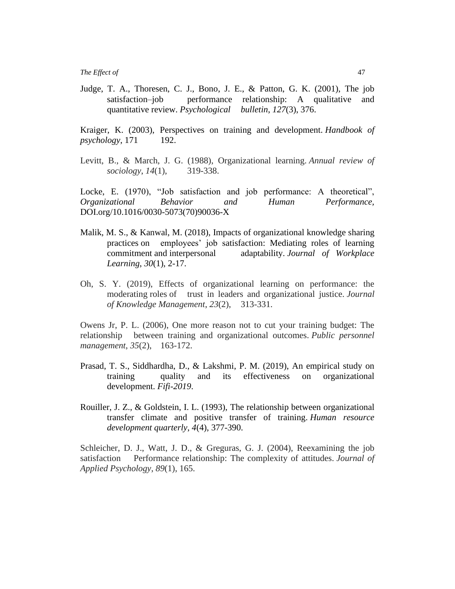Judge, T. A., Thoresen, C. J., Bono, J. E., & Patton, G. K. (2001), The job satisfaction–job performance relationship: A qualitative and quantitative review. *Psychological bulletin*, *127*(3), 376.

Kraiger, K. (2003), Perspectives on training and development. *Handbook of psychology*, 171 192.

Levitt, B., & March, J. G. (1988), Organizational learning. *Annual review of sociology*, *14*(1), 319-338.

Locke, E. (1970), "Job satisfaction and job performance: A theoretical", *Organizational Behavior and Human Performance,*  DOI.org/10.1016/0030-5073(70)90036-X

- Malik, M. S., & Kanwal, M. (2018), Impacts of organizational knowledge sharing practices on employees' job satisfaction: Mediating roles of learning commitment and interpersonal adaptability. *Journal of Workplace Learning*, *30*(1), 2-17.
- Oh, S. Y. (2019), Effects of organizational learning on performance: the moderating roles of trust in leaders and organizational justice. *Journal of Knowledge Management*, *23*(2), 313-331.

Owens Jr, P. L. (2006), One more reason not to cut your training budget: The relationship between training and organizational outcomes. *Public personnel management*, *35*(2), 163-172.

- Prasad, T. S., Siddhardha, D., & Lakshmi, P. M. (2019), An empirical study on training quality and its effectiveness on organizational development. *Fifi-2019*.
- Rouiller, J. Z., & Goldstein, I. L. (1993), The relationship between organizational transfer climate and positive transfer of training. *Human resource development quarterly*, *4*(4), 377-390.

Schleicher, D. J., Watt, J. D., & Greguras, G. J. (2004), Reexamining the job satisfaction Performance relationship: The complexity of attitudes. *Journal of Applied Psychology*, *89*(1), 165.